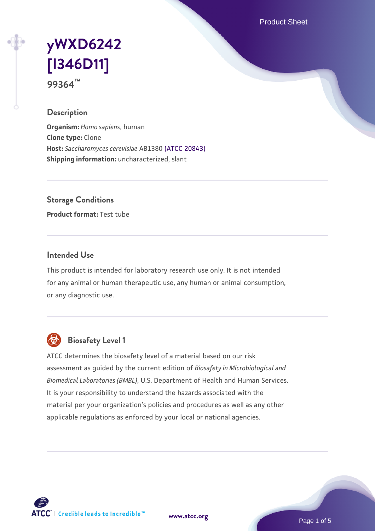Product Sheet

# **[yWXD6242](https://www.atcc.org/products/99364) [\[I346D11\]](https://www.atcc.org/products/99364) 99364™**

**Description**

**Organism:** *Homo sapiens*, human **Clone type:** Clone **Host:** *Saccharomyces cerevisiae* AB1380 [\(ATCC 20843\)](https://www.atcc.org/products/20843) **Shipping information:** uncharacterized, slant

**Storage Conditions**

**Product format:** Test tube

#### **Intended Use**

This product is intended for laboratory research use only. It is not intended for any animal or human therapeutic use, any human or animal consumption, or any diagnostic use.



# **Biosafety Level 1**

ATCC determines the biosafety level of a material based on our risk assessment as guided by the current edition of *Biosafety in Microbiological and Biomedical Laboratories (BMBL)*, U.S. Department of Health and Human Services. It is your responsibility to understand the hazards associated with the material per your organization's policies and procedures as well as any other applicable regulations as enforced by your local or national agencies.



**[www.atcc.org](http://www.atcc.org)**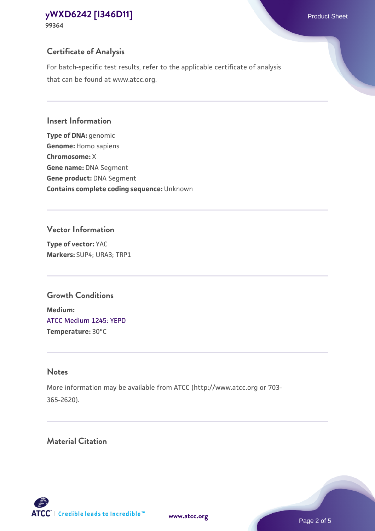**99364**

# **Certificate of Analysis**

For batch-specific test results, refer to the applicable certificate of analysis that can be found at www.atcc.org.

#### **Insert Information**

**Type of DNA:** genomic **Genome:** Homo sapiens **Chromosome:** X **Gene name:** DNA Segment **Gene product:** DNA Segment **Contains complete coding sequence:** Unknown

#### **Vector Information**

**Type of vector:** YAC **Markers:** SUP4; URA3; TRP1

## **Growth Conditions**

**Medium:**  [ATCC Medium 1245: YEPD](https://www.atcc.org/-/media/product-assets/documents/microbial-media-formulations/1/2/4/5/atcc-medium-1245.pdf?rev=705ca55d1b6f490a808a965d5c072196) **Temperature:** 30°C

# **Notes**

More information may be available from ATCC (http://www.atcc.org or 703- 365-2620).

# **Material Citation**

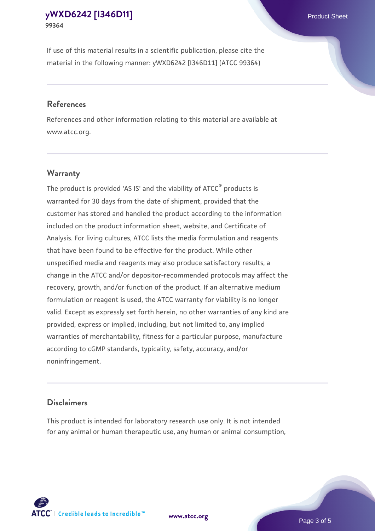If use of this material results in a scientific publication, please cite the material in the following manner: yWXD6242 [I346D11] (ATCC 99364)

#### **References**

References and other information relating to this material are available at www.atcc.org.

### **Warranty**

The product is provided 'AS IS' and the viability of  $ATCC<sup>®</sup>$  products is warranted for 30 days from the date of shipment, provided that the customer has stored and handled the product according to the information included on the product information sheet, website, and Certificate of Analysis. For living cultures, ATCC lists the media formulation and reagents that have been found to be effective for the product. While other unspecified media and reagents may also produce satisfactory results, a change in the ATCC and/or depositor-recommended protocols may affect the recovery, growth, and/or function of the product. If an alternative medium formulation or reagent is used, the ATCC warranty for viability is no longer valid. Except as expressly set forth herein, no other warranties of any kind are provided, express or implied, including, but not limited to, any implied warranties of merchantability, fitness for a particular purpose, manufacture according to cGMP standards, typicality, safety, accuracy, and/or noninfringement.

#### **Disclaimers**

This product is intended for laboratory research use only. It is not intended for any animal or human therapeutic use, any human or animal consumption,





Page 3 of 5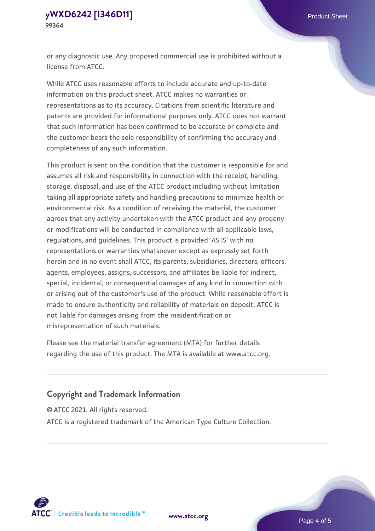or any diagnostic use. Any proposed commercial use is prohibited without a license from ATCC.

While ATCC uses reasonable efforts to include accurate and up-to-date information on this product sheet, ATCC makes no warranties or representations as to its accuracy. Citations from scientific literature and patents are provided for informational purposes only. ATCC does not warrant that such information has been confirmed to be accurate or complete and the customer bears the sole responsibility of confirming the accuracy and completeness of any such information.

This product is sent on the condition that the customer is responsible for and assumes all risk and responsibility in connection with the receipt, handling, storage, disposal, and use of the ATCC product including without limitation taking all appropriate safety and handling precautions to minimize health or environmental risk. As a condition of receiving the material, the customer agrees that any activity undertaken with the ATCC product and any progeny or modifications will be conducted in compliance with all applicable laws, regulations, and guidelines. This product is provided 'AS IS' with no representations or warranties whatsoever except as expressly set forth herein and in no event shall ATCC, its parents, subsidiaries, directors, officers, agents, employees, assigns, successors, and affiliates be liable for indirect, special, incidental, or consequential damages of any kind in connection with or arising out of the customer's use of the product. While reasonable effort is made to ensure authenticity and reliability of materials on deposit, ATCC is not liable for damages arising from the misidentification or misrepresentation of such materials.

Please see the material transfer agreement (MTA) for further details regarding the use of this product. The MTA is available at www.atcc.org.

### **Copyright and Trademark Information**

© ATCC 2021. All rights reserved.

ATCC is a registered trademark of the American Type Culture Collection.



**[www.atcc.org](http://www.atcc.org)**